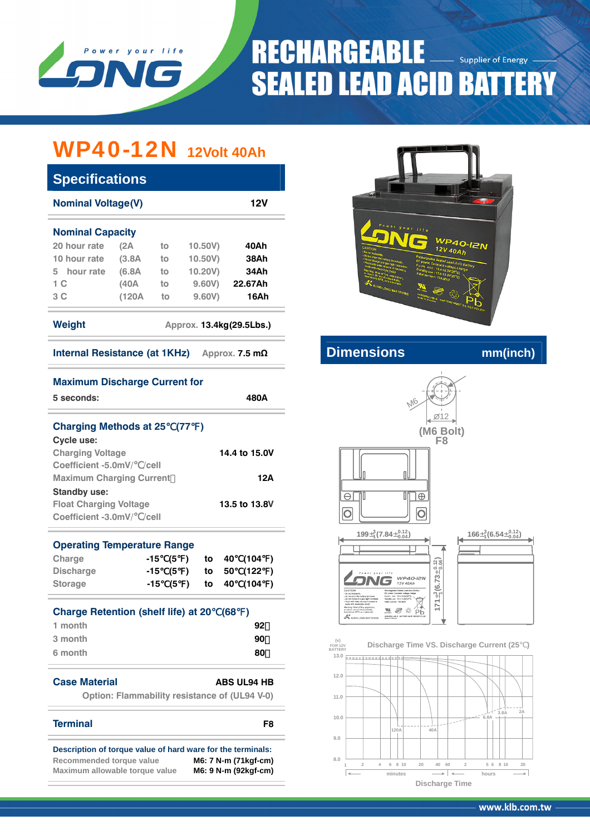

# **RECHARGEABLE Supplier of Energy SEALED LEAD ACID BATTERY**

# WP40-12N **12Volt 40Ah**

| <b>Specifications</b>                                   |                         |         |         |  |  |  |  |  |
|---------------------------------------------------------|-------------------------|---------|---------|--|--|--|--|--|
| <b>Nominal Voltage(V)</b><br>12V                        |                         |         |         |  |  |  |  |  |
|                                                         |                         |         |         |  |  |  |  |  |
| (2A)                                                    | to                      | 10.50V) | 40Ah    |  |  |  |  |  |
| (3.8A)                                                  | to                      | 10.50V  | 38Ah    |  |  |  |  |  |
| (6.8A                                                   | to                      | 10.20V) | 34Ah    |  |  |  |  |  |
| (40A                                                    | to                      | 9.60V   | 22.67Ah |  |  |  |  |  |
| (120A                                                   | to                      | 9,60V   | 16Ah    |  |  |  |  |  |
| Weight<br>Approx. 13.4kg(29.5Lbs.)                      |                         |         |         |  |  |  |  |  |
| Internal Resistance (at 1KHz).<br>Approx. 7.5 $m\Omega$ |                         |         |         |  |  |  |  |  |
|                                                         | <b>Nominal Capacity</b> |         |         |  |  |  |  |  |

# 40-12N  $12V$  40Ah

# **Internal Resistance (at 1THz) A** *a***<sub> <b>Dimensions** mm(inch)</sub>



**minutes**  $\longrightarrow$  **hours Discharge Time**

# **Maximum Discharge Current for**

| 5 seconds:                                       |  | 480A |
|--------------------------------------------------|--|------|
| <b>Charging Methods at 25 (77)</b><br>Cycle use: |  |      |

| <b>Charging Voltage</b>         | 14.4 to 15.0V |
|---------------------------------|---------------|
| Coefficient -5.0mV/ /cell       |               |
| <b>Maximum Charging Current</b> | 12A           |
| <b>Standby use:</b>             |               |
| <b>Float Charging Voltage</b>   | 13.5 to 13.8V |
| Coefficient -3.0mV/<br>/cell    |               |

## **Operating Temperature Range**

| Charge           |  |  | $-15$ (5) to 40 (104) |  |
|------------------|--|--|-----------------------|--|
| <b>Discharge</b> |  |  | -15 (5) to 50 (122)   |  |
| Storage          |  |  | $-15$ (5) to 40 (104) |  |

| Charge Retention (shelf life) at 20 (68) |    |
|------------------------------------------|----|
| 1 month                                  | 92 |
| 3 month                                  | 90 |
| 6 month                                  | 80 |

# **Case Material ABS UL94 HB**

**Option: Flammability resistance of (UL94 V-0)** 

## **Terminal F8**

**Description of torque value of hard ware for the terminals: Recommended torque value M6: 7 N-m (71kgf-cm) Maximum allowable torque value M6: 9 N-m (92kgf-cm)**

www.klb.com.tw